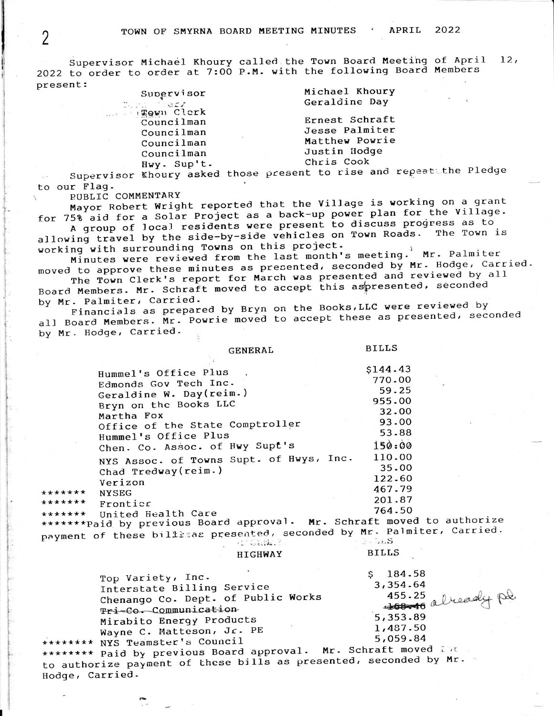Supervisor Michael Khoury called the Town Board Meeting of April  $12.$ 2022 to order to order at 7:00 P.M. with the following Board Members present:

| Supervisor  | Michael Khoury |
|-------------|----------------|
| sa harr     | Geraldine Day  |
| gown Clerk  |                |
| Councilman  | Ernest Schraft |
| Councilman  | Jesse Palmiter |
| Councilman  | Matthew Powrie |
| Councilman  | Justin Hodge   |
| Hwy. Sup't. | Chris Cook     |
|             |                |

Supervisor Khoury asked those present to rise and repeats the Pledge to our Flag.

PUBLIC COMMENTARY

Mayor Robert Wright reported that the Village is working on a grant for 75% aid for a Solar Project as a back-up power plan for the Village.

A group of local residents were present to discuss progress as to allowing travel by the side-by-side vehicles on Town Roads. The Town is working with surrounding Towns on this project.

Minutes were reviewed from the last month's meeting. Mr. Palmiter moved to approve these minutes as presented, seconded by Mr. Hodge, Carried.

The Town Clerk's report for March was presented and reviewed by all Board Members. Mr. Schraft moved to accept this aspresented, seconded by Mr. Palmiter, Carried.

Financials as prepared by Bryn on the Books, LLC were reviewed by all Board Members. Mr. Powrie moved to accept these as presented, seconded by Mr. Hodge, Carried.

**BILLS** 

**BILLS** 

|         | Hummel's Office Plus                     | \$144.43               |
|---------|------------------------------------------|------------------------|
|         | Edmonds Gov Tech Inc.                    | 770.00                 |
|         | Geraldine W. Day(reim.)                  | 59.25                  |
|         | Bryn on the Books LLC                    | 955.00                 |
|         | Martha Fox                               | 32.00                  |
|         | Office of the State Comptroller          | 93.00                  |
|         | Hummel's Office Plus                     | 53.88                  |
|         | Chen. Co. Assoc. of Hwy Supt's           | 150:00                 |
|         | NYS Assoc. of Towns Supt. of Hwys, Inc.  | 110.00                 |
|         | Chad Tredway (reim.)                     | 35.00                  |
|         | Verizon                                  | 122.60                 |
| ******* | <b>NYSEG</b>                             | 467.79                 |
| ******* | Frontier                                 | 201.87                 |
| ******* | United Health Care                       | 764.50                 |
|         | ********Paid by previous Board approval. | Mr. Schraft moved to a |

**GENERAL** 

uthorize \*\*\* Paid by previous Boa payment of these billisas presented, seconded by Mr. Palmiter, Carried. . Canal **BULLS** 

| HIGHWAY |  |
|---------|--|

 $$184.58$ Top Variety, Inc. 3,354.64 Interstate Billing Service 100-16 already pol. Chenango Co. Dept. of Public Works Tri-Co. Communication 5,353.89 Mirabito Energy Products 1,487.50 Wayne C. Matteson, Jr. PE 5,059.84 \*\*\*\*\*\*\*\* NYS Teamster's Council \*\*\*\*\*\*\*\* Paid by previous Board approval. Mr. Schraft moved Int

to authorize payment of these bills as presented, seconded by Mr. Hodge, Carried.